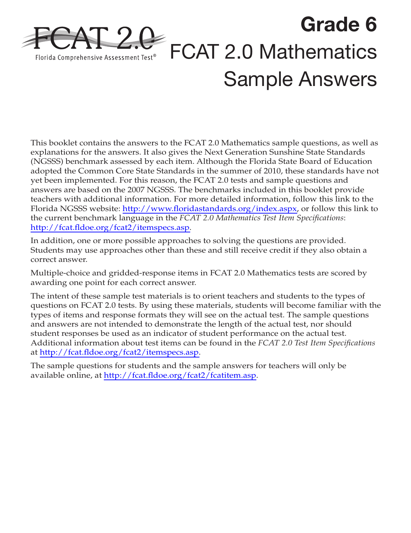

This booklet contains the answers to the FCAT 2.0 Mathematics sample questions, as well as explanations for the answers. It also gives the Next Generation Sunshine State Standards (NGSSS) benchmark assessed by each item. Although the Florida State Board of Education adopted the Common Core State Standards in the summer of 2010, these standards have not yet been implemented. For this reason, the FCAT 2.0 tests and sample questions and answers are based on the 2007 NGSSS. The benchmarks included in this booklet provide teachers with additional information. For more detailed information, follow this link to the Florida NGSSS website: [http://www.floridastandards.org/index.aspx,](http://www.floridastandards.org/index.aspx) or follow this link to the current benchmark language in the *FCAT 2.0 Mathematics Test Item Specifications*: [http://fcat.fldoe.org/fcat2/itemspecs.asp.](http://fcat.fldoe.org/fcat2/itemspecs.asp)

In addition, one or more possible approaches to solving the questions are provided. Students may use approaches other than these and still receive credit if they also obtain a correct answer.

Multiple-choice and gridded-response items in FCAT 2.0 Mathematics tests are scored by awarding one point for each correct answer.

The intent of these sample test materials is to orient teachers and students to the types of questions on FCAT 2.0 tests. By using these materials, students will become familiar with the types of items and response formats they will see on the actual test. The sample questions and answers are not intended to demonstrate the length of the actual test, nor should student responses be used as an indicator of student performance on the actual test. Additional information about test items can be found in the *FCAT 2.0 Test Item Specifications* at [http://fcat.fldoe.org/fcat2/itemspecs.asp.](http://fcat.fldoe.org/fcat2/itemspecs.asp)

The sample questions for students and the sample answers for teachers will only be available online, at [http://fcat.fldoe.org/fcat2/fcatitem.asp](http://fcat.fldoe.org/fcat2/itemspecs.asp).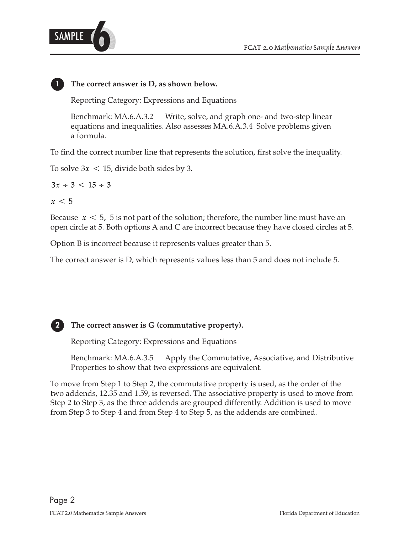



#### **The correct answer is D, as shown below.**

Reporting Category: Expressions and Equations

Benchmark: MA.6.A.3.2 Write, solve, and graph one- and two-step linear equations and inequalities. Also assesses MA.6.A.3.4 Solve problems given a formula.

To find the correct number line that represents the solution, first solve the inequality.

To solve  $3x < 15$ , divide both sides by 3.

 $3x \div 3 < 15 \div 3$ 

 $x < 5$ 

**1**

Because  $\,x \,<\,5$ ,  $\,5$  is not part of the solution; therefore, the number line must have an open circle at 5. Both options A and C are incorrect because they have closed circles at 5.

Option B is incorrect because it represents values greater than 5.

The correct answer is D, which represents values less than 5 and does not include 5.



### **The correct answer is G (commutative property).**

Reporting Category: Expressions and Equations

Benchmark: MA.6.A.3.5 Apply the Commutative, Associative, and Distributive Properties to show that two expressions are equivalent.

To move from Step 1 to Step 2, the commutative property is used, as the order of the two addends, 12.35 and 1.59, is reversed. The associative property is used to move from Step 2 to Step 3, as the three addends are grouped differently. Addition is used to move from Step 3 to Step 4 and from Step 4 to Step 5, as the addends are combined.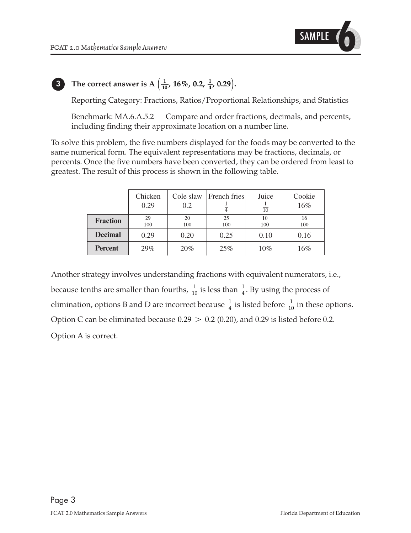

#### The correct answer is A  $\left(\frac{1}{10}\right)$ **10 3 h** The correct answer is A  $\left(\frac{1}{10}, 16\%, 0.2, \frac{1}{4}, 0.29\right)$ .

Reporting Category: Fractions, Ratios/Proportional Relationships, and Statistics

Benchmark: MA.6.A.5.2 Compare and order fractions, decimals, and percents, including finding their approximate location on a number line.

To solve this problem, the five numbers displayed for the foods may be converted to the same numerical form. The equivalent representations may be fractions, decimals, or percents. Once the five numbers have been converted, they can be ordered from least to greatest. The result of this process is shown in the following table.

|                 | Chicken<br>0.29        | Cole slaw<br>0.2       | French fries           | Juice<br>$\overline{10}$ | Cookie<br>16%          |
|-----------------|------------------------|------------------------|------------------------|--------------------------|------------------------|
| <b>Fraction</b> | 29<br>$\overline{100}$ | 20<br>$\overline{100}$ | 25<br>$\overline{100}$ | 10<br>$\overline{100}$   | 16<br>$\overline{100}$ |
| <b>Decimal</b>  | 0.29                   | 0.20                   | 0.25                   | 0.10                     | 0.16                   |
| <b>Percent</b>  | 29%                    | 20%                    | 25%                    | 10%                      | 16%                    |

 $\frac{1}{4}$ . Option C can be eliminated because  $0.29\,>\,0.2$  (0.20), and 0.29 is listed before 0.2. 1 10 1 elimination, options B and D are incorrect because  $\frac{1}{4}$  is listed before  $\frac{1}{10}$  in these options. 4 1 because tenths are smaller than fourths,  $\frac{1}{10}$  is less than  $\frac{1}{4}$ . By using the process of Another strategy involves understanding fractions with equivalent numerators, i.e., Option A is correct.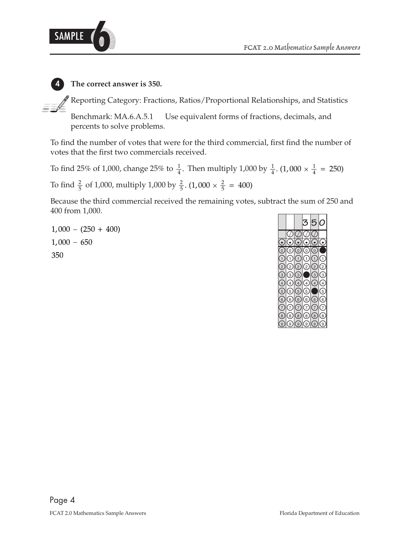



**4 The correct answer is 350.**

 $\mathcal P$  Reporting Category: Fractions, Ratios/Proportional Relationships, and Statistics

Benchmark: MA.6.A.5.1 Use equivalent forms of fractions, decimals, and percents to solve problems.

To find the number of votes that were for the third commercial, first find the number of votes that the first two commercials received.

2 5 To find  $\frac{2}{5}$  of 1,000, multiply 1,000 by  $\frac{2}{5}$ . (1,000  $\times \frac{2}{5}$  = 400) 1 4 To find 25% of 1,000, change 25% to  $\frac{1}{4}$ . Then multiply 1,000 by  $\frac{1}{4}$ . (1,000  $\times$   $\frac{1}{4}$  = 250)

Because the third commercial received the remaining votes, subtract the sum of 250 and 400 from 1,000.

 $1,000 - (250 + 400)$  $1,000 - 650$ 350

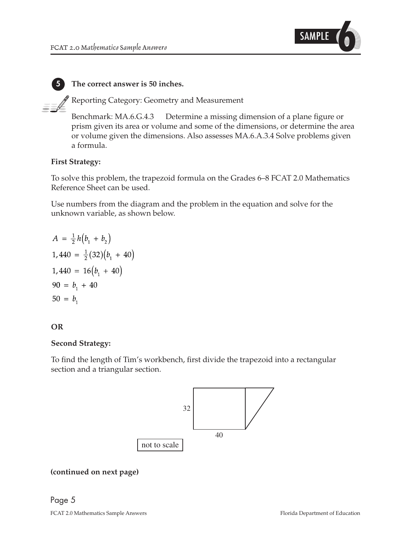

**5 The correct answer is 50 inches.**

Reporting Category: Geometry and Measurement

Benchmark: MA.6.G.4.3 Determine a missing dimension of a plane figure or prism given its area or volume and some of the dimensions, or determine the area or volume given the dimensions. Also assesses MA.6.A.3.4 Solve problems given a formula.

#### **First Strategy:**

To solve this problem, the trapezoid formula on the Grades 6–8 FCAT 2.0 Mathematics Reference Sheet can be used.

Use numbers from the diagram and the problem in the equation and solve for the unknown variable, as shown below.

$$
A = \frac{1}{2}h(b_1 + b_2)
$$
  
\n1,440 =  $\frac{1}{2}$ (32)(b<sub>1</sub> + 40)  
\n1,440 = 16(b<sub>1</sub> + 40)  
\n90 = b<sub>1</sub> + 40  
\n50 = b<sub>1</sub>

#### **OR**

#### **Second Strategy:**

To find the length of Tim's workbench, first divide the trapezoid into a rectangular section and a triangular section.



#### **(continued on next page)**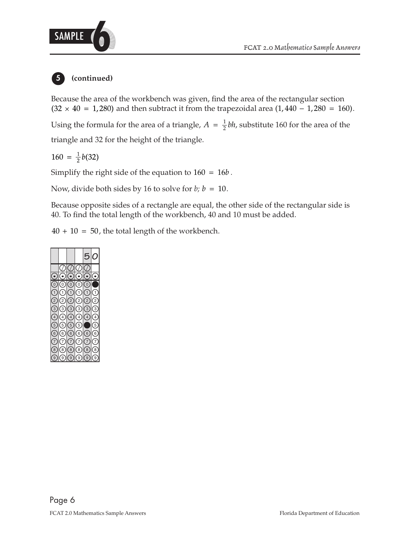

#### **(continued) 5**

Because the area of the workbench was given, find the area of the rectangular section and then subtract it from the trapezoidal area  $(1,440 - 1,280 = 160)$ .

Using the formula for the area of a triangle,  $A = \frac{1}{2}bh$ , substitute 160 for the area of the

triangle and 32 for the height of the triangle.

 $160 = \frac{1}{2}b(32)$ 

Simplify the right side of the equation to  $160 = 16b$ .

Now, divide both sides by 16 to solve for  $b$ ;  $b = 10$ .

Because opposite sides of a rectangle are equal, the other side of the rectangular side is 40. To find the total length of the workbench, 40 and 10 must be added.

 $40 + 10 = 50$ , the total length of the workbench.

|                |                |                |                | с              |                |
|----------------|----------------|----------------|----------------|----------------|----------------|
|                |                |                |                |                |                |
|                |                |                |                |                |                |
| C              | $\overline{0}$ | $\overline{C}$ | $\overline{0}$ | $\overline{C}$ |                |
| $\overline{1}$ | 1              | 1              | 1              | 1              | 1              |
| $\overline{2}$ | $\overline{2}$ | $\overline{2}$ | $\overline{c}$ | $\overline{2}$ | $\frac{1}{2}$  |
| $\overline{3}$ | (з             | $\mathbf{3}$   | (з             | 3              | 3              |
| $\overline{4}$ | $\overline{4}$ | $\overline{4}$ | $\overline{4}$ | $\overline{4}$ | $\overline{4}$ |
| 5              | 5              | 5              | 5              |                | 5              |
| 6              | 6              | 6              | 6              | 6              | 6              |
|                | 7              | 7              | 7              | 7              | 7              |
| 8              | 8              | 8              | 8              | 8              | 8              |
| ċ              | g              | g              | g              | g              | ς              |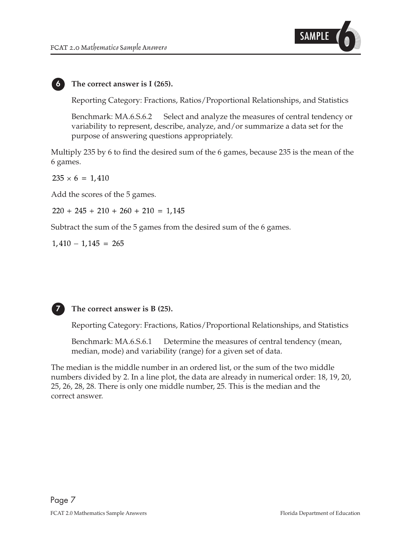

#### **6 The correct answer is I (265).**

Reporting Category: Fractions, Ratios/Proportional Relationships, and Statistics

Benchmark: MA.6.S.6.2 Select and analyze the measures of central tendency or variability to represent, describe, analyze, and/or summarize a data set for the purpose of answering questions appropriately.

Multiply 235 by 6 to find the desired sum of the 6 games, because 235 is the mean of the 6 games.

 $235 \times 6 = 1,410$ 

Add the scores of the 5 games.

 $220 + 245 + 210 + 260 + 210 = 1,145$ 

Subtract the sum of the 5 games from the desired sum of the 6 games.

 $1,410 - 1,145 = 265$ 



#### **7 The correct answer is B (25).**

Reporting Category: Fractions, Ratios/Proportional Relationships, and Statistics

Benchmark: MA.6.S.6.1 Determine the measures of central tendency (mean, median, mode) and variability (range) for a given set of data.

The median is the middle number in an ordered list, or the sum of the two middle numbers divided by 2. In a line plot, the data are already in numerical order: 18, 19, 20, 25, 26, 28, 28. There is only one middle number, 25. This is the median and the correct answer.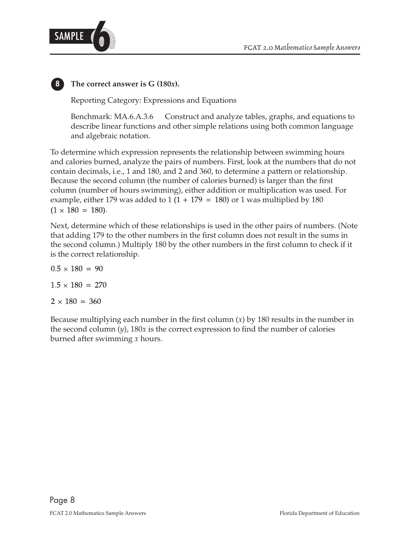

## **8 The correct answer is G (180***x***).**

Reporting Category: Expressions and Equations

Benchmark: MA.6.A.3.6 Construct and analyze tables, graphs, and equations to describe linear functions and other simple relations using both common language and algebraic notation.

To determine which expression represents the relationship between swimming hours and calories burned, analyze the pairs of numbers. First, look at the numbers that do not contain decimals, i.e., 1 and 180, and 2 and 360, to determine a pattern or relationship. Because the second column (the number of calories burned) is larger than the first column (number of hours swimming), either addition or multiplication was used. For example, either 179 was added to 1 (1 + 179 = 180) or 1 was multiplied by 180  $\,$  $(1 \times 180 = 180)$ .

Next, determine which of these relationships is used in the other pairs of numbers. (Note that adding 179 to the other numbers in the first column does not result in the sums in the second column.) Multiply 180 by the other numbers in the first column to check if it is the correct relationship.

 $0.5 \times 180 = 90$  $1.5 \times 180 = 270$  $2 \times 180 = 360$ 

Because multiplying each number in the first column (*x*) by 180 results in the number in the second column (*y*), 180*x* is the correct expression to find the number of calories burned after swimming *x* hours.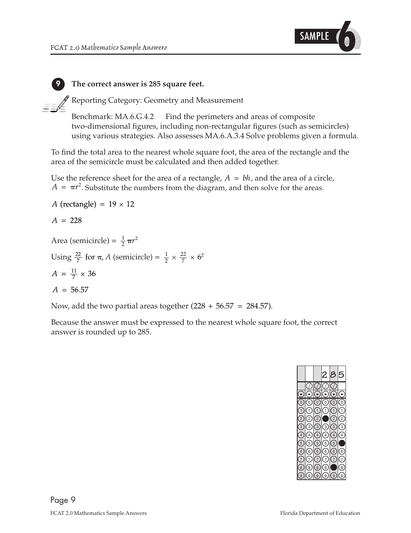

**9 The correct answer is 285 square feet.**

 $\mathscr P$  Reporting Category: Geometry and Measurement

Benchmark: MA.6.G.4.2 Find the perimeters and areas of composite two-dimensional figures, including non-rectangular figures (such as semicircles) using various strategies. Also assesses MA.6.A.3.4 Solve problems given a formula.

To find the total area to the nearest whole square foot, the area of the rectangle and the area of the semicircle must be calculated and then added together.

Use the reference sheet for the area of a rectangle,  $A = bh$ , and the area of a circle,  $A = \pi r^2$ . Substitute the numbers from the diagram, and then solve for the areas.

$$
A \text{ (rectangle)} = 19 \times 12
$$
\n
$$
A = 228
$$
\n
$$
\text{Area (semicircle)} = \frac{1}{2} \pi r^2
$$
\n
$$
\text{Using } \frac{22}{7} \text{ for } \pi, A \text{ (semicircle)} = \frac{1}{2} \times \frac{22}{7} \times 6^2
$$
\n
$$
A = \frac{11}{7} \times 36
$$
\n
$$
A = 56.57
$$

Now, add the two partial areas together  $(228 + 56.57 = 284.57)$ .

Because the answer must be expressed to the nearest whole square foot, the correct answer is rounded up to 285.

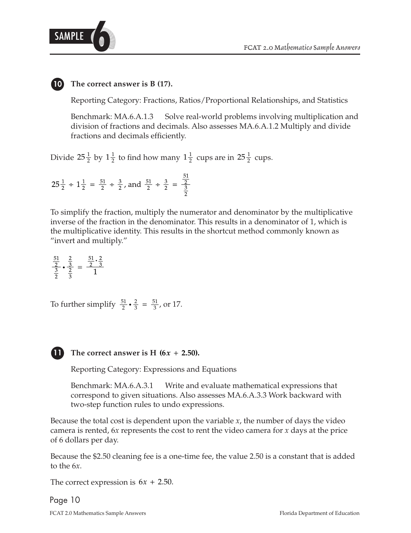



Reporting Category: Fractions, Ratios/Proportional Relationships, and Statistics

Benchmark: MA.6.A.1.3 Solve real-world problems involving multiplication and division of fractions and decimals. Also assesses MA.6.A.1.2 Multiply and divide fractions and decimals efficiently.

Divide  $25\frac{1}{2}$  by  $1\frac{1}{2}$  to find how many  $1\frac{1}{2}$  cups are in  $25\frac{1}{2}$  cups.

$$
25\frac{1}{2} \div 1\frac{1}{2} = \frac{51}{2} \div \frac{3}{2}
$$
, and  $\frac{51}{2} \div \frac{3}{2} = \frac{\frac{51}{2}}{\frac{3}{2}}$ 

To simplify the fraction, multiply the numerator and denominator by the multiplicative inverse of the fraction in the denominator. This results in a denominator of 1, which is the multiplicative identity. This results in the shortcut method commonly known as "invert and multiply."

 $\frac{\frac{51}{2}}{\frac{3}{2}} \cdot \frac{\frac{2}{3}}{\frac{2}{2}} = \frac{\frac{51}{2} \cdot \frac{2}{3}}{1}$ 

 $\frac{51}{2} \cdot \frac{2}{3} = \frac{51}{3}$ , 2 3 To further simplify  $\frac{51}{2} \cdot \frac{2}{3} = \frac{51}{3}$ , or 17.



#### **11** The correct answer is H  $(6x + 2.50)$ .

Reporting Category: Expressions and Equations

Benchmark: MA.6.A.3.1 Write and evaluate mathematical expressions that correspond to given situations. Also assesses MA.6.A.3.3 Work backward with two-step function rules to undo expressions.

Because the total cost is dependent upon the variable *x*, the number of days the video camera is rented, 6*x* represents the cost to rent the video camera for *x* days at the price of 6 dollars per day.

Because the \$2.50 cleaning fee is a one-time fee, the value 2.50 is a constant that is added to the 6*x*.

The correct expression is  $6x + 2.50$ .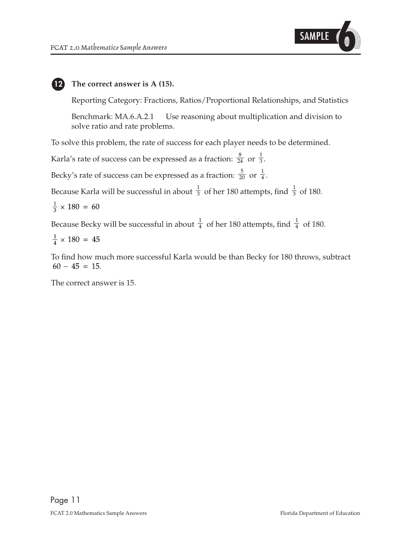

#### **The correct answer is A (15). 12**

Reporting Category: Fractions, Ratios/Proportional Relationships, and Statistics

Benchmark: MA.6.A.2.1 Use reasoning about multiplication and division to solve ratio and rate problems.

To solve this problem, the rate of success for each player needs to be determined.

 $\frac{1}{3}$ . 3 8 Karla's rate of success can be expressed as a fraction:  $\frac{a}{24}$  or

 $\frac{1}{4}.$ 4 5 Becky's rate of success can be expressed as a fraction:  $\frac{1}{20}$  or

1 3 1 Because Karla will be successful in about  $\frac{1}{3}$  of her 180 attempts, find  $\frac{1}{3}$  of 180.

$$
\frac{1}{3} \times 180 = 60
$$

1 4 1 Because Becky will be successful in about  $\frac{1}{4}$  of her 180 attempts, find  $\frac{1}{4}$  of 180.

 $\frac{1}{4} \times 180 = 45$ 

To find how much more successful Karla would be than Becky for 180 throws, subtract  $60 - 45 = 15.$ 

The correct answer is 15.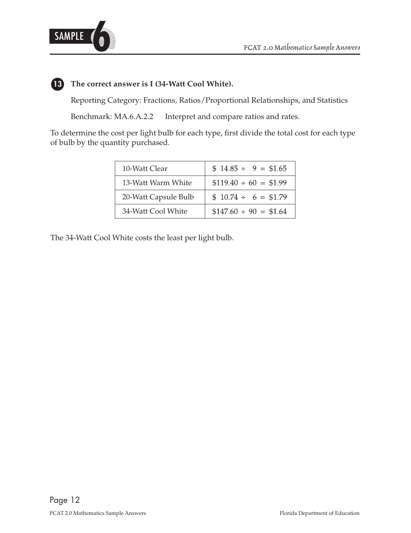



## **13 The correct answer is I (34-Watt Cool White).**

Reporting Category: Fractions, Ratios/Proportional Relationships, and Statistics

Benchmark: MA.6.A.2.2 Interpret and compare ratios and rates.

To determine the cost per light bulb for each type, first divide the total cost for each type of bulb by the quantity purchased.

| 10-Watt Clear        | $$14.85 \div 9 = $1.65$   |
|----------------------|---------------------------|
| 13-Watt Warm White   | $$119.40 \div 60 = $1.99$ |
| 20-Watt Capsule Bulb | $$10.74 \div 6 = $1.79$   |
| 34-Watt Cool White   | $$147.60 \div 90 = $1.64$ |

The 34-Watt Cool White costs the least per light bulb.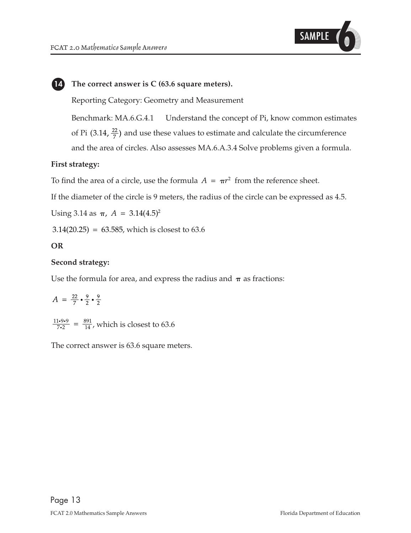

#### **14 The correct answer is C (63.6 square meters).**

Reporting Category: Geometry and Measurement

of Pi (3.14,  $\frac{22}{7}$ ) and use these values to estimate and calculate the circumference Benchmark: MA.6.G.4.1 Understand the concept of Pi, know common estimates and the area of circles. Also assesses MA.6.A.3.4 Solve problems given a formula.

#### **First strategy:**

To find the area of a circle, use the formula  $A = \pi r^2$  from the reference sheet.

If the diameter of the circle is 9 meters, the radius of the circle can be expressed as 4.5.

Using 3.14 as  $\pi$ ,  $A = 3.14(4.5)^2$ 

 $3.14(20.25) = 63.585$ , which is closest to 63.6

#### **OR**

#### **Second strategy:**

Use the formula for area, and express the radius and  $\pi$  as fractions:

 $A = \frac{22}{7} \cdot \frac{9}{2} \cdot \frac{9}{2}$ 

 $\frac{11 \cdot 9 \cdot 9}{7 \cdot 2} = \frac{891}{14}$ 891 14  $\frac{10.9}{12} = \frac{891}{14}$ , which is closest to 63.6

The correct answer is 63.6 square meters.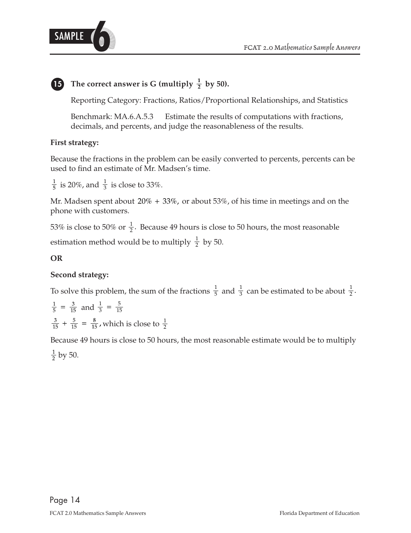

# **<sup>1</sup> <sup>15</sup> <sup>2</sup> The correct answer is G (multiply by 50).**

Reporting Category: Fractions, Ratios/Proportional Relationships, and Statistics

Benchmark: MA.6.A.5.3 Estimate the results of computations with fractions, decimals, and percents, and judge the reasonableness of the results.

### **First strategy:**

Because the fractions in the problem can be easily converted to percents, percents can be used to find an estimate of Mr. Madsen's time.

1 is 20%, and  $\frac{1}{3}$  is close to 33%.

Mr. Madsen spent about  $20\% + 33\%$ , or about  $53\%$ , of his time in meetings and on the phone with customers.

1 estimation method would be to multiply  $\frac{1}{2}$  by 50. 53% is close to 50% or  $\frac{1}{2}$ . Because 49 hours is close to 50 hours, the most reasonable

### **OR**

### **Second strategy:**

 $\frac{1}{5}$  and  $\frac{1}{3}$  can be estimated to be about  $\frac{1}{2}$ . 1 To solve this problem, the sum of the fractions  $\frac{1}{5}$  and  $\frac{1}{3}$  can be estimated to be about

$$
\frac{1}{5} = \frac{3}{15}
$$
 and  $\frac{1}{3} = \frac{5}{15}$   
 $\frac{3}{15} + \frac{5}{15} = \frac{8}{15}$ , which is close to  $\frac{1}{2}$ 

Because 49 hours is close to 50 hours, the most reasonable estimate would be to multiply  $rac{1}{2}$  by 50.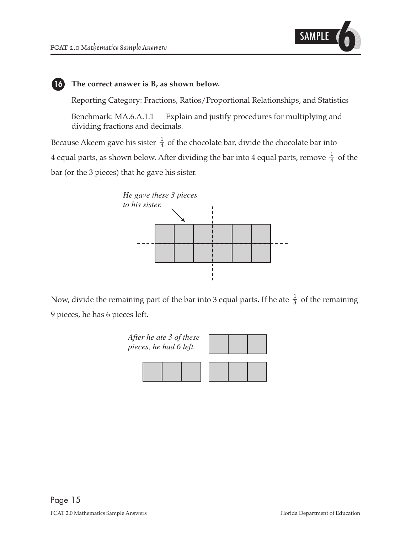

#### **16 The correct answer is B, as shown below.**

Reporting Category: Fractions, Ratios/Proportional Relationships, and Statistics

Benchmark: MA.6.A.1.1 Explain and justify procedures for multiplying and dividing fractions and decimals.

1 4 equal parts, as shown below. After dividing the bar into 4 equal parts, remove  $\frac{1}{4}\,$  of the 1 Because Akeem gave his sister  $\frac{1}{4}$  of the chocolate bar, divide the chocolate bar into bar (or the 3 pieces) that he gave his sister.



1 Now, divide the remaining part of the bar into 3 equal parts. If he ate  $\frac{1}{3}$  of the remaining 9 pieces, he has 6 pieces left.